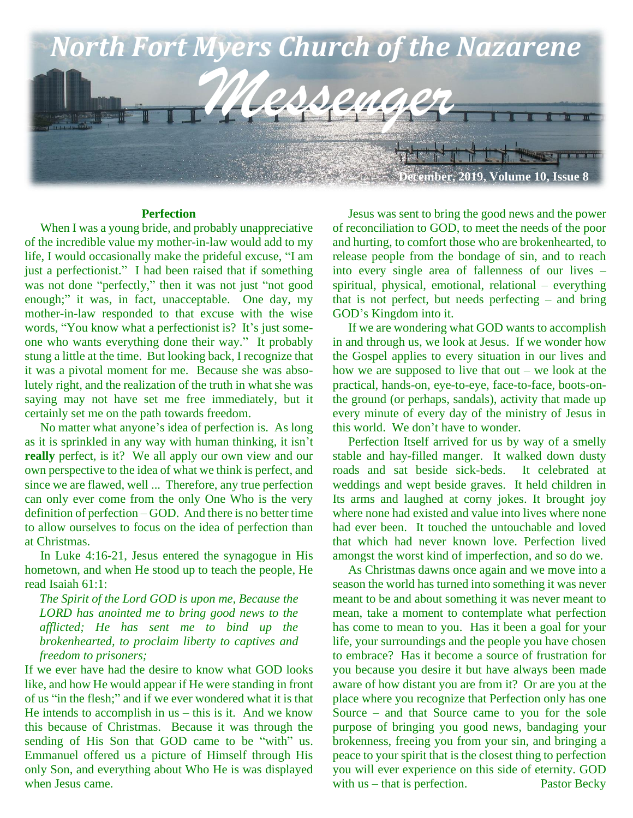

#### **Perfection**

When I was a young bride, and probably unappreciative of the incredible value my mother-in-law would add to my life, I would occasionally make the prideful excuse, "I am just a perfectionist." I had been raised that if something was not done "perfectly," then it was not just "not good enough;" it was, in fact, unacceptable. One day, my mother-in-law responded to that excuse with the wise words, "You know what a perfectionist is? It's just someone who wants everything done their way." It probably stung a little at the time. But looking back, I recognize that it was a pivotal moment for me. Because she was absolutely right, and the realization of the truth in what she was saying may not have set me free immediately, but it certainly set me on the path towards freedom.

 No matter what anyone's idea of perfection is. As long as it is sprinkled in any way with human thinking, it isn't **really** perfect, is it? We all apply our own view and our own perspective to the idea of what we think is perfect, and since we are flawed, well ... Therefore, any true perfection can only ever come from the only One Who is the very definition of perfection – GOD. And there is no better time to allow ourselves to focus on the idea of perfection than at Christmas.

 In Luke 4:16-21, Jesus entered the synagogue in His hometown, and when He stood up to teach the people, He read Isaiah 61:1:

*The Spirit of the Lord GOD is upon me, Because the LORD has anointed me to bring good news to the afflicted; He has sent me to bind up the brokenhearted, to proclaim liberty to captives and freedom to prisoners;*

If we ever have had the desire to know what GOD looks like, and how He would appear if He were standing in front of us "in the flesh;" and if we ever wondered what it is that He intends to accomplish in  $us - this$  is it. And we know this because of Christmas. Because it was through the sending of His Son that GOD came to be "with" us. Emmanuel offered us a picture of Himself through His only Son, and everything about Who He is was displayed when Jesus came.

 Jesus was sent to bring the good news and the power of reconciliation to GOD, to meet the needs of the poor and hurting, to comfort those who are brokenhearted, to release people from the bondage of sin, and to reach into every single area of fallenness of our lives – spiritual, physical, emotional, relational – everything that is not perfect, but needs perfecting – and bring GOD's Kingdom into it.

 If we are wondering what GOD wants to accomplish in and through us, we look at Jesus. If we wonder how the Gospel applies to every situation in our lives and how we are supposed to live that out – we look at the practical, hands-on, eye-to-eye, face-to-face, boots-onthe ground (or perhaps, sandals), activity that made up every minute of every day of the ministry of Jesus in this world. We don't have to wonder.

 Perfection Itself arrived for us by way of a smelly stable and hay-filled manger. It walked down dusty roads and sat beside sick-beds. It celebrated at weddings and wept beside graves. It held children in Its arms and laughed at corny jokes. It brought joy where none had existed and value into lives where none had ever been. It touched the untouchable and loved that which had never known love. Perfection lived amongst the worst kind of imperfection, and so do we.

 As Christmas dawns once again and we move into a season the world has turned into something it was never meant to be and about something it was never meant to mean, take a moment to contemplate what perfection has come to mean to you. Has it been a goal for your life, your surroundings and the people you have chosen to embrace? Has it become a source of frustration for you because you desire it but have always been made aware of how distant you are from it? Or are you at the place where you recognize that Perfection only has one Source – and that Source came to you for the sole purpose of bringing you good news, bandaging your brokenness, freeing you from your sin, and bringing a peace to your spirit that is the closest thing to perfection you will ever experience on this side of eternity. GOD with us – that is perfection. Pastor Becky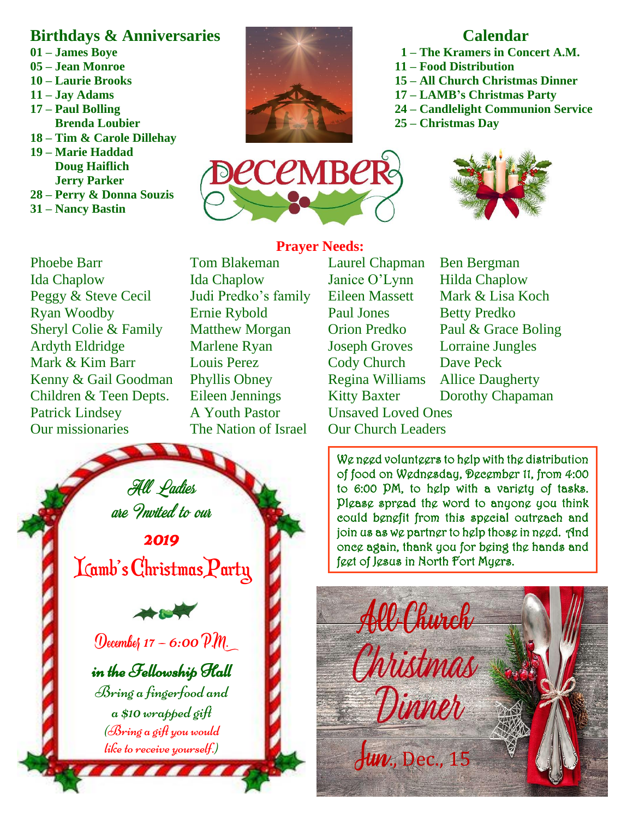## **Birthdays & Anniversaries**

- **01 – James Boye**
- **05 – Jean Monroe**
- **10 – Laurie Brooks**
- **11 – Jay Adams**
- **17 – Paul Bolling Brenda Loubier**
- **18 – Tim & Carole Dillehay**
- **19 – Marie Haddad Doug Haiflich Jerry Parker**
- **28 – Perry & Donna Souzis**
- **31 – Nancy Bastin**



## **Calendar**

- **1 – The Kramers in Concert A.M.**
- **11 – Food Distribution**
- **15 – All Church Christmas Dinner**
- **17 – LAMB's Christmas Party**
- **24 – Candlelight Communion Service**
- **25 – Christmas Day**





# Kenny & Gail Goodman Phyllis Obney Regina Williams Allice Daugherty **Children & Teen Depts.** Eileen Jennings Kitty Baxter Dorothy Chapaman **Patrick Lindsey**<br>**Our missionaries** Phoebe Barr Tom Blakeman Laurel Chapman Ben Bergman Ida Chaplow Ida Chaplow Janice O'Lynn Hilda Chaplow Peggy & Steve Cecil Judi Predko's family Eileen Massett Mark & Lisa Koch Ryan Woodby Ernie Rybold Paul Jones Betty Predko Sheryl Colie & Family Matthew Morgan Orion Predko Paul & Grace Boling Ardyth Eldridge Marlene Ryan Joseph Groves Lorraine Jungles Mark & Kim Barr Louis Perez Cody Church Dave Peck

House of James Ministries

# A Youth Pastor Unsaved Loved Ones The Nation of Israel Our Church Leaders

**Prayer Needs:**

We need volunteers to help with the distribution of food on Wednesday, December 11, from 4:00 to 6:00 PM, to help with a variety of tasks. Please spread the word to anyone you think could benefit from this special outreach and join us as we partner to help those in need. And once again, thank you for being the hands and feet of Jesus in North Fort Myers.



All Ladies are Invited to our

Our military, our leaders & our nation

2019

Lamb's Christmas Party

December  $17 - 6:00$   $\mathcal{P}$ . in the Fellowship Hall Bring a fingerfood and  $a$  \$10 wrapped gift  $(S\rightarrow\mathcal{B})$  a gift you would like to receive yourself.)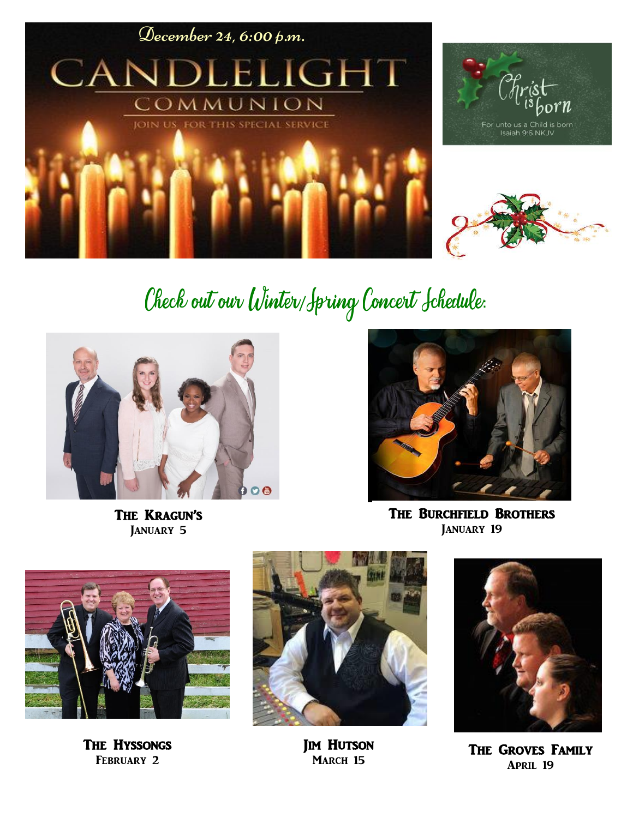

# Check out our Winter/Jpring Concert Jchedule:



The Kragun's JANUARY 5



The Burchfield Brothers JANUARY 19



THE HYSSONGS February 2



**JIM HUTSON** MARCH 15



The Groves Family April 19